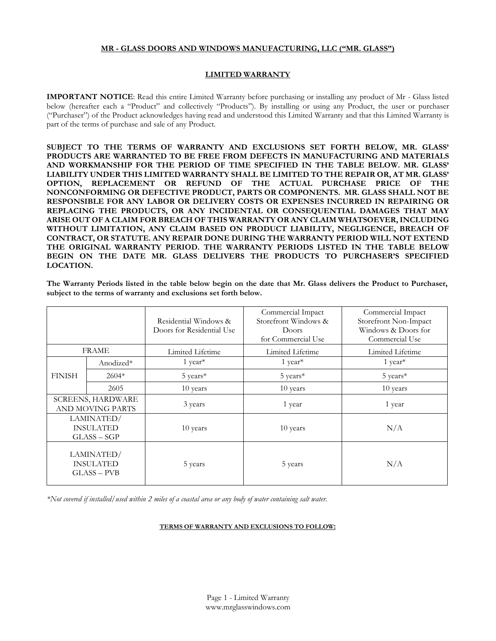### **MR - GLASS DOORS AND WINDOWS MANUFACTURING, LLC ("MR. GLASS")**

## **LIMITED WARRANTY**

**IMPORTANT NOTICE**: Read this entire Limited Warranty before purchasing or installing any product of Mr - Glass listed below (hereafter each a "Product" and collectively "Products"). By installing or using any Product, the user or purchaser ("Purchaser") of the Product acknowledges having read and understood this Limited Warranty and that this Limited Warranty is part of the terms of purchase and sale of any Product.

**SUBJECT TO THE TERMS OF WARRANTY AND EXCLUSIONS SET FORTH BELOW, MR. GLASS' PRODUCTS ARE WARRANTED TO BE FREE FROM DEFECTS IN MANUFACTURING AND MATERIALS AND WORKMANSHIP FOR THE PERIOD OF TIME SPECIFIED IN THE TABLE BELOW. MR. GLASS' LIABILITY UNDER THIS LIMITED WARRANTY SHALL BE LIMITED TO THE REPAIR OR, AT MR. GLASS' OPTION, REPLACEMENT OR REFUND OF THE ACTUAL PURCHASE PRICE OF THE NONCONFORMING OR DEFECTIVE PRODUCT, PARTS OR COMPONENTS. MR. GLASS SHALL NOT BE RESPONSIBLE FOR ANY LABOR OR DELIVERY COSTS OR EXPENSES INCURRED IN REPAIRING OR REPLACING THE PRODUCTS, OR ANY INCIDENTAL OR CONSEQUENTIAL DAMAGES THAT MAY ARISE OUT OF A CLAIM FOR BREACH OF THIS WARRANTY OR ANY CLAIM WHATSOEVER, INCLUDING WITHOUT LIMITATION, ANY CLAIM BASED ON PRODUCT LIABILITY, NEGLIGENCE, BREACH OF CONTRACT, OR STATUTE. ANY REPAIR DONE DURING THE WARRANTY PERIOD WILL NOT EXTEND THE ORIGINAL WARRANTY PERIOD. THE WARRANTY PERIODS LISTED IN THE TABLE BELOW BEGIN ON THE DATE MR. GLASS DELIVERS THE PRODUCTS TO PURCHASER'S SPECIFIED LOCATION.**

**The Warranty Periods listed in the table below begin on the date that Mr. Glass delivers the Product to Purchaser, subject to the terms of warranty and exclusions set forth below.**

|                                               |           | Residential Windows &<br>Doors for Residential Use | Commercial Impact<br>Storefront Windows &<br>Doors<br>for Commercial Use | Commercial Impact<br>Storefront Non-Impact<br>Windows & Doors for<br>Commercial Use |
|-----------------------------------------------|-----------|----------------------------------------------------|--------------------------------------------------------------------------|-------------------------------------------------------------------------------------|
| <b>FRAME</b>                                  |           | Limited Lifetime                                   | Limited Lifetime                                                         | Limited Lifetime                                                                    |
| <b>FINISH</b>                                 | Anodized* | 1 year <sup>*</sup>                                | $1$ year <sup>*</sup>                                                    | 1 year <sup>*</sup>                                                                 |
|                                               | $2604*$   | $5$ years*                                         | 5 years*                                                                 | 5 years*                                                                            |
|                                               | 2605      | 10 years                                           | 10 years                                                                 | 10 years                                                                            |
| <b>SCREENS, HARDWARE</b><br>AND MOVING PARTS  |           | 3 years                                            | 1 year                                                                   | 1 year                                                                              |
| LAMINATED/<br><b>INSULATED</b><br>$GLASS-SGP$ |           | 10 years                                           | 10 years                                                                 | N/A                                                                                 |
| LAMINATED/<br><b>INSULATED</b><br>$GLASS-PVB$ |           | 5 years                                            | 5 years                                                                  | N/A                                                                                 |

*\*Not covered if installed/used within 2 miles of a coastal area or any body of water containing salt water.*

#### **TERMS OF WARRANTY AND EXCLUSIONS TO FOLLOW:**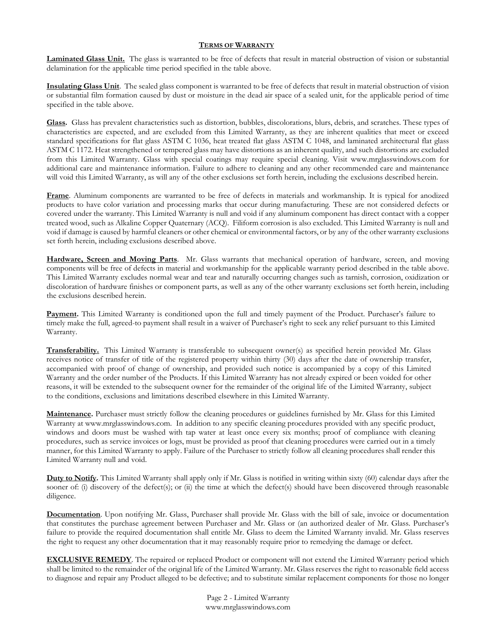# **TERMS OF WARRANTY**

**Laminated Glass Unit.** The glass is warranted to be free of defects that result in material obstruction of vision or substantial delamination for the applicable time period specified in the table above.

**Insulating Glass Unit**. The sealed glass component is warranted to be free of defects that result in material obstruction of vision or substantial film formation caused by dust or moisture in the dead air space of a sealed unit, for the applicable period of time specified in the table above.

**Glass.** Glass has prevalent characteristics such as distortion, bubbles, discolorations, blurs, debris, and scratches. These types of characteristics are expected, and are excluded from this Limited Warranty, as they are inherent qualities that meet or exceed standard specifications for flat glass ASTM C 1036, heat treated flat glass ASTM C 1048, and laminated architectural flat glass ASTM C 1172. Heat strengthened or tempered glass may have distortions as an inherent quality, and such distortions are excluded from this Limited Warranty. Glass with special coatings may require special cleaning. Visit www.mrglasswindows.com for additional care and maintenance information. Failure to adhere to cleaning and any other recommended care and maintenance will void this Limited Warranty, as will any of the other exclusions set forth herein, including the exclusions described herein.

**Frame**. Aluminum components are warranted to be free of defects in materials and workmanship. It is typical for anodized products to have color variation and processing marks that occur during manufacturing. These are not considered defects or covered under the warranty. This Limited Warranty is null and void if any aluminum component has direct contact with a copper treated wood, such as Alkaline Copper Quaternary (ACQ). Filiform corrosion is also excluded. This Limited Warranty is null and void if damage is caused by harmful cleaners or other chemical or environmental factors, or by any of the other warranty exclusions set forth herein, including exclusions described above.

**Hardware, Screen and Moving Parts**. Mr. Glass warrants that mechanical operation of hardware, screen, and moving components will be free of defects in material and workmanship for the applicable warranty period described in the table above. This Limited Warranty excludes normal wear and tear and naturally occurring changes such as tarnish, corrosion, oxidization or discoloration of hardware finishes or component parts, as well as any of the other warranty exclusions set forth herein, including the exclusions described herein.

**Payment.** This Limited Warranty is conditioned upon the full and timely payment of the Product. Purchaser's failure to timely make the full, agreed-to payment shall result in a waiver of Purchaser's right to seek any relief pursuant to this Limited Warranty.

**Transferability.** This Limited Warranty is transferable to subsequent owner(s) as specified herein provided Mr. Glass receives notice of transfer of title of the registered property within thirty (30) days after the date of ownership transfer, accompanied with proof of change of ownership, and provided such notice is accompanied by a copy of this Limited Warranty and the order number of the Products. If this Limited Warranty has not already expired or been voided for other reasons, it will be extended to the subsequent owner for the remainder of the original life of the Limited Warranty, subject to the conditions, exclusions and limitations described elsewhere in this Limited Warranty.

**Maintenance.** Purchaser must strictly follow the cleaning procedures or guidelines furnished by Mr. Glass for this Limited Warranty at www.mrglasswindows.com. In addition to any specific cleaning procedures provided with any specific product, windows and doors must be washed with tap water at least once every six months; proof of compliance with cleaning procedures, such as service invoices or logs, must be provided as proof that cleaning procedures were carried out in a timely manner, for this Limited Warranty to apply. Failure of the Purchaser to strictly follow all cleaning procedures shall render this Limited Warranty null and void.

**Duty to Notify.** This Limited Warranty shall apply only if Mr. Glass is notified in writing within sixty (60) calendar days after the sooner of: (i) discovery of the defect(s); or (ii) the time at which the defect(s) should have been discovered through reasonable diligence.

**Documentation**. Upon notifying Mr. Glass, Purchaser shall provide Mr. Glass with the bill of sale, invoice or documentation that constitutes the purchase agreement between Purchaser and Mr. Glass or (an authorized dealer of Mr. Glass. Purchaser's failure to provide the required documentation shall entitle Mr. Glass to deem the Limited Warranty invalid. Mr. Glass reserves the right to request any other documentation that it may reasonably require prior to remedying the damage or defect.

**EXCLUSIVE REMEDY**. The repaired or replaced Product or component will not extend the Limited Warranty period which shall be limited to the remainder of the original life of the Limited Warranty. Mr. Glass reserves the right to reasonable field access to diagnose and repair any Product alleged to be defective; and to substitute similar replacement components for those no longer

> Page 2 - Limited Warranty [www.mrglasswindows.com](http://www.mrglasswindows.com/)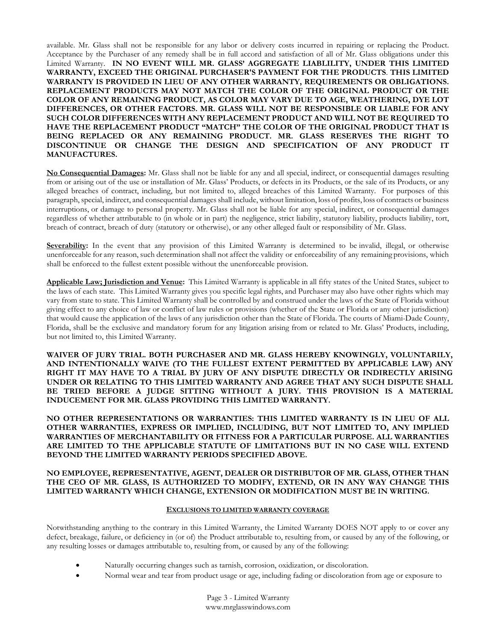available. Mr. Glass shall not be responsible for any labor or delivery costs incurred in repairing or replacing the Product. Acceptance by the Purchaser of any remedy shall be in full accord and satisfaction of all of Mr. Glass obligations under this Limited Warranty. **IN NO EVENT WILL MR. GLASS' AGGREGATE LIABLILITY, UNDER THIS LIMITED WARRANTY, EXCEED THE ORIGINAL PURCHASER'S PAYMENT FOR THE PRODUCTS**. **THIS LIMITED WARRANTY IS PROVIDED IN LIEU OF ANY OTHER WARRANTY, REQUIREMENTS OR OBLIGATIONS. REPLACEMENT PRODUCTS MAY NOT MATCH THE COLOR OF THE ORIGINAL PRODUCT OR THE COLOR OF ANY REMAINING PRODUCT, AS COLOR MAY VARY DUE TO AGE, WEATHERING, DYE LOT DIFFERENCES, OR OTHER FACTORS. MR. GLASS WILL NOT BE RESPONSIBLE OR LIABLE FOR ANY SUCH COLOR DIFFERENCES WITH ANY REPLACEMENT PRODUCT AND WILL NOT BE REQUIRED TO HAVE THE REPLACEMENT PRODUCT "MATCH" THE COLOR OF THE ORIGINAL PRODUCT THAT IS BEING REPLACED OR ANY REMAINING PRODUCT. MR. GLASS RESERVES THE RIGHT TO DISCONTINUE OR CHANGE THE DESIGN AND SPECIFICATION OF ANY PRODUCT IT MANUFACTURES.**

**No Consequential Damages:** Mr. Glass shall not be liable for any and all special, indirect, or consequential damages resulting from or arising out of the use or installation of Mr. Glass' Products, or defects in its Products, or the sale of its Products, or any alleged breaches of contract, including, but not limited to, alleged breaches of this Limited Warranty. For purposes of this paragraph, special, indirect, and consequential damages shall include, without limitation, loss of profits, loss of contracts or business interruptions, or damage to personal property. Mr. Glass shall not be liable for any special, indirect, or consequential damages regardless of whether attributable to (in whole or in part) the negligence, strict liability, statutory liability, products liability, tort, breach of contract, breach of duty (statutory or otherwise), or any other alleged fault or responsibility of Mr. Glass.

**Severability:** In the event that any provision of this Limited Warranty is determined to be invalid, illegal, or otherwise unenforceable for any reason, such determination shall not affect the validity or enforceability of any remaining provisions, which shall be enforced to the fullest extent possible without the unenforceable provision.

**Applicable Law; Jurisdiction and Venue:** This Limited Warranty is applicable in all fifty states of the United States, subject to the laws of each state. This Limited Warranty gives you specific legal rights, and Purchaser may also have other rights which may vary from state to state. This Limited Warranty shall be controlled by and construed under the laws of the State of Florida without giving effect to any choice of law or conflict of law rules or provisions (whether of the State or Florida or any other jurisdiction) that would cause the application of the laws of any jurisdiction other than the State of Florida. The courts of Miami-Dade County, Florida, shall be the exclusive and mandatory forum for any litigation arising from or related to Mr. Glass' Products, including, but not limited to, this Limited Warranty.

**WAIVER OF JURY TRIAL. BOTH PURCHASER AND MR. GLASS HEREBY KNOWINGLY, VOLUNTARILY, AND INTENTIONALLY WAIVE (TO THE FULLEST EXTENT PERMITTED BY APPLICABLE LAW) ANY RIGHT IT MAY HAVE TO A TRIAL BY JURY OF ANY DISPUTE DIRECTLY OR INDIRECTLY ARISING UNDER OR RELATING TO THIS LIMITED WARRANTY AND AGREE THAT ANY SUCH DISPUTE SHALL BE TRIED BEFORE A JUDGE SITTING WITHOUT A JURY. THIS PROVISION IS A MATERIAL INDUCEMENT FOR MR. GLASS PROVIDING THIS LIMITED WARRANTY.**

**NO OTHER REPRESENTATIONS OR WARRANTIES: THIS LIMITED WARRANTY IS IN LIEU OF ALL OTHER WARRANTIES, EXPRESS OR IMPLIED, INCLUDING, BUT NOT LIMITED TO, ANY IMPLIED WARRANTIES OF MERCHANTABILITY OR FITNESS FOR A PARTICULAR PURPOSE. ALL WARRANTIES ARE LIMITED TO THE APPLICABLE STATUTE OF LIMITATIONS BUT IN NO CASE WILL EXTEND BEYOND THE LIMITED WARRANTY PERIODS SPECIFIED ABOVE.** 

### **NO EMPLOYEE, REPRESENTATIVE, AGENT, DEALER OR DISTRIBUTOR OF MR. GLASS, OTHER THAN THE CEO OF MR. GLASS, IS AUTHORIZED TO MODIFY, EXTEND, OR IN ANY WAY CHANGE THIS LIMITED WARRANTY WHICH CHANGE, EXTENSION OR MODIFICATION MUST BE IN WRITING.**

### **EXCLUSIONS TO LIMITED WARRANTY COVERAGE**

Notwithstanding anything to the contrary in this Limited Warranty, the Limited Warranty DOES NOT apply to or cover any defect, breakage, failure, or deficiency in (or of) the Product attributable to, resulting from, or caused by any of the following, or any resulting losses or damages attributable to, resulting from, or caused by any of the following:

- Naturally occurring changes such as tarnish, corrosion, oxidization, or discoloration.
- Normal wear and tear from product usage or age, including fading or discoloration from age or exposure to